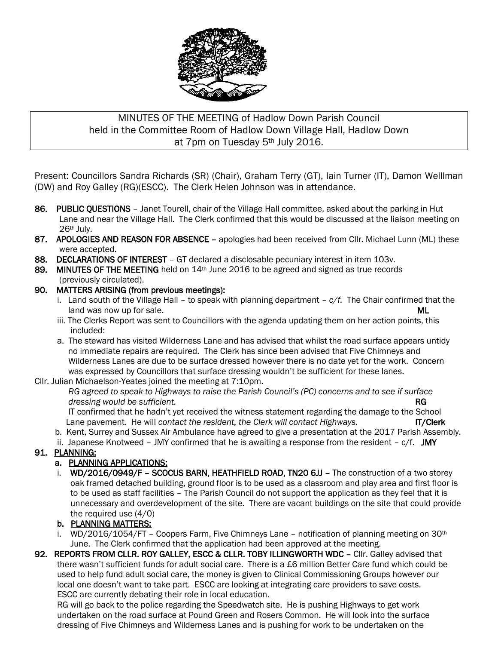

# MINUTES OF THE MEETING of Hadlow Down Parish Council held in the Committee Room of Hadlow Down Village Hall, Hadlow Down at 7pm on Tuesday 5<sup>th</sup> July 2016.

Present: Councillors Sandra Richards (SR) (Chair), Graham Terry (GT), Iain Turner (IT), Damon Welllman (DW) and Roy Galley (RG)(ESCC). The Clerk Helen Johnson was in attendance.

- 86. PUBLIC QUESTIONS Janet Tourell, chair of the Village Hall committee, asked about the parking in Hut Lane and near the Village Hall. The Clerk confirmed that this would be discussed at the liaison meeting on 26th July.
- 87. APOLOGIES AND REASON FOR ABSENCE apologies had been received from Cllr. Michael Lunn (ML) these were accepted.
- 88. DECLARATIONS OF INTEREST GT declared a disclosable pecuniary interest in item 103v.
- 89. MINUTES OF THE MEETING held on 14<sup>th</sup> June 2016 to be agreed and signed as true records (previously circulated).

### 90. MATTERS ARISING (from previous meetings):

- i. Land south of the Village Hall to speak with planning department *c/f.* The Chair confirmed that the land was now up for sale. And the same state of the same state of the same state of the same state of the sale
- iii. The Clerks Report was sent to Councillors with the agenda updating them on her action points, this included:
- a. The steward has visited Wilderness Lane and has advised that whilst the road surface appears untidy no immediate repairs are required. The Clerk has since been advised that Five Chimneys and Wilderness Lanes are due to be surface dressed however there is no date yet for the work. Concern was expressed by Councillors that surface dressing wouldn't be sufficient for these lanes.

### Cllr. Julian Michaelson-Yeates joined the meeting at 7:10pm.

 *RG agreed to speak to Highways to raise the Parish Council's (PC) concerns and to see if surface dressing would be sufficient.* All the summary control of the summary control of the summary control of the summary control of the summary control of the summary control of the summary control of the summary control of

 IT confirmed that he hadn't yet received the witness statement regarding the damage to the School Lane pavement. He will *contact the resident, the Clerk will contact Highways.* **IT/Clerk** 

- b. Kent, Surrey and Sussex Air Ambulance have agreed to give a presentation at the 2017 Parish Assembly.
- ii. Japanese Knotweed JMY confirmed that he is awaiting a response from the resident  $c/f$ . JMY

## 91. PLANNING:

## a. PLANNING APPLICATIONS:

i. WD/2016/0949/F - SCOCUS BARN, HEATHFIELD ROAD, TN20 6JJ - The construction of a two storey oak framed detached building, ground floor is to be used as a classroom and play area and first floor is to be used as staff facilities – The Parish Council do not support the application as they feel that it is unnecessary and overdevelopment of the site. There are vacant buildings on the site that could provide the required use (4/0)

## b. PLANNING MATTERS:

- i. WD/2016/1054/FT Coopers Farm, Five Chimneys Lane notification of planning meeting on  $30<sup>th</sup>$ June. The Clerk confirmed that the application had been approved at the meeting.
- 92. REPORTS FROM CLLR. ROY GALLEY, ESCC & CLLR. TOBY ILLINGWORTH WDC Cllr. Galley advised that there wasn't sufficient funds for adult social care. There is a £6 million Better Care fund which could be used to help fund adult social care, the money is given to Clinical Commissioning Groups however our local one doesn't want to take part. ESCC are looking at integrating care providers to save costs. ESCC are currently debating their role in local education.

 RG will go back to the police regarding the Speedwatch site. He is pushing Highways to get work undertaken on the road surface at Pound Green and Rosers Common. He will look into the surface dressing of Five Chimneys and Wilderness Lanes and is pushing for work to be undertaken on the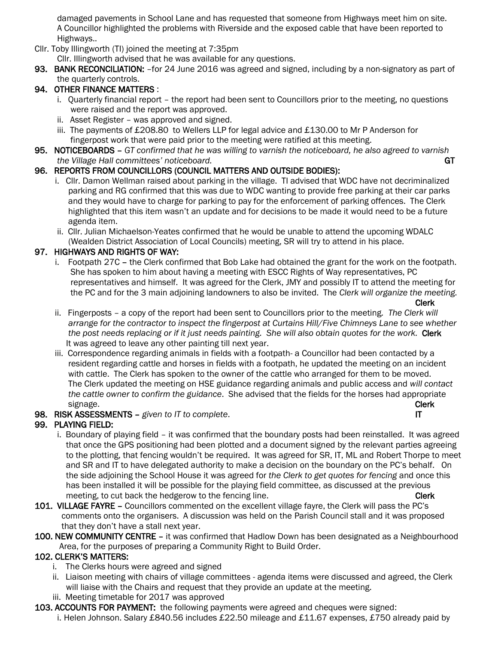damaged pavements in School Lane and has requested that someone from Highways meet him on site. A Councillor highlighted the problems with Riverside and the exposed cable that have been reported to Highways..

Cllr. Toby Illingworth (TI) joined the meeting at 7:35pm

Cllr. Illingworth advised that he was available for any questions.

93. BANK RECONCILIATION: - for 24 June 2016 was agreed and signed, including by a non-signatory as part of the quarterly controls.

# 94. OTHER FINANCE MATTERS :

- i. Quarterly financial report the report had been sent to Councillors prior to the meeting, no questions were raised and the report was approved.
- ii. Asset Register was approved and signed.
- iii. The payments of £208.80 to Wellers LLP for legal advice and £130.00 to Mr P Anderson for fingerpost work that were paid prior to the meeting were ratified at this meeting.
- 95. NOTICEBOARDS *GT confirmed that he was willing to varnish the noticeboard, he also agreed to varnish the Village Hall committees' noticeboard.* GT **GT GT GT**

## 96. REPORTS FROM COUNCILLORS (COUNCIL MATTERS AND OUTSIDE BODIES):

- i. Cllr. Damon Wellman raised about parking in the village. TI advised that WDC have not decriminalized parking and RG confirmed that this was due to WDC wanting to provide free parking at their car parks and they would have to charge for parking to pay for the enforcement of parking offences. The Clerk highlighted that this item wasn't an update and for decisions to be made it would need to be a future agenda item.
- ii. Cllr. Julian Michaelson-Yeates confirmed that he would be unable to attend the upcoming WDALC (Wealden District Association of Local Councils) meeting, SR will try to attend in his place.

## 97. HIGHWAYS AND RIGHTS OF WAY:

 i. Footpath 27C – the Clerk confirmed that Bob Lake had obtained the grant for the work on the footpath. She has spoken to him about having a meeting with ESCC Rights of Way representatives, PC representatives and himself. It was agreed for the Clerk, JMY and possibly IT to attend the meeting for the PC and for the 3 main adjoining landowners to also be invited. The *Clerk will organize the meeting.*

Clerk

- ii. Fingerposts a copy of the report had been sent to Councillors prior to the meeting*. The Clerk will arrange for the contractor to inspect the fingerpost at Curtains Hill/Five Chimneys Lane to see whether the post needs replacing or if it just needs painting. She will also obtain quotes for the work.* Clerk It was agreed to leave any other painting till next year.
- iii. Correspondence regarding animals in fields with a footpath- a Councillor had been contacted by a resident regarding cattle and horses in fields with a footpath, he updated the meeting on an incident with cattle. The Clerk has spoken to the owner of the cattle who arranged for them to be moved. The Clerk updated the meeting on HSE guidance regarding animals and public access and *will contact the cattle owner to confirm the guidance*. She advised that the fields for the horses had appropriate signage. Clerk and the contract of the contract of the contract of the contract of the contract of the contract of the contract of the contract of the contract of the contract of the contract of the contract of the contrac

## 98. RISK ASSESSMENTS – *given to IT to complete*. IT

## 99. PLAYING FIELD:

- i. Boundary of playing field it was confirmed that the boundary posts had been reinstalled. It was agreed that once the GPS positioning had been plotted and a document signed by the relevant parties agreeing to the plotting, that fencing wouldn't be required. It was agreed for SR, IT, ML and Robert Thorpe to meet and SR and IT to have delegated authority to make a decision on the boundary on the PC's behalf. On the side adjoining the School House it was agreed for *the Clerk to get quotes for fencing* and once this has been installed it will be possible for the playing field committee, as discussed at the previous meeting, to cut back the hedgerow to the fencing line. The control of the Clerk
- 101. VILLAGE FAYRE Councillors commented on the excellent village fayre, the Clerk will pass the PC's comments onto the organisers. A discussion was held on the Parish Council stall and it was proposed that they don't have a stall next year.
- 100. NEW COMMUNITY CENTRE it was confirmed that Hadlow Down has been designated as a Neighbourhood Area, for the purposes of preparing a Community Right to Build Order.

## 102. CLERK'S MATTERS:

- i. The Clerks hours were agreed and signed
- ii. Liaison meeting with chairs of village committees agenda items were discussed and agreed, the Clerk will liaise with the Chairs and request that they provide an update at the meeting.
- iii. Meeting timetable for 2017 was approved
- 103. ACCOUNTS FOR PAYMENT: the following payments were agreed and cheques were signed:
	- i. Helen Johnson. Salary £840.56 includes £22.50 mileage and £11.67 expenses, £750 already paid by